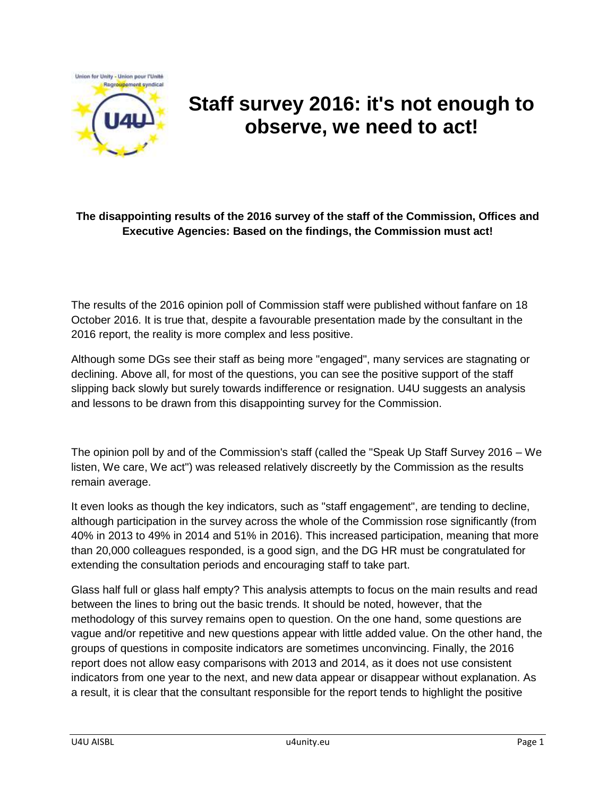

# **Staff survey 2016: it's not enough to observe, we need to act!**

#### **The disappointing results of the 2016 survey of the staff of the Commission, Offices and Executive Agencies: Based on the findings, the Commission must act!**

The results of the 2016 opinion poll of Commission staff were published without fanfare on 18 October 2016. It is true that, despite a favourable presentation made by the consultant in the 2016 report, the reality is more complex and less positive.

Although some DGs see their staff as being more "engaged", many services are stagnating or declining. Above all, for most of the questions, you can see the positive support of the staff slipping back slowly but surely towards indifference or resignation. U4U suggests an analysis and lessons to be drawn from this disappointing survey for the Commission.

The opinion poll by and of the Commission's staff (called the "Speak Up Staff Survey 2016 – We listen, We care, We act") was released relatively discreetly by the Commission as the results remain average.

It even looks as though the key indicators, such as "staff engagement", are tending to decline, although participation in the survey across the whole of the Commission rose significantly (from 40% in 2013 to 49% in 2014 and 51% in 2016). This increased participation, meaning that more than 20,000 colleagues responded, is a good sign, and the DG HR must be congratulated for extending the consultation periods and encouraging staff to take part.

Glass half full or glass half empty? This analysis attempts to focus on the main results and read between the lines to bring out the basic trends. It should be noted, however, that the methodology of this survey remains open to question. On the one hand, some questions are vague and/or repetitive and new questions appear with little added value. On the other hand, the groups of questions in composite indicators are sometimes unconvincing. Finally, the 2016 report does not allow easy comparisons with 2013 and 2014, as it does not use consistent indicators from one year to the next, and new data appear or disappear without explanation. As a result, it is clear that the consultant responsible for the report tends to highlight the positive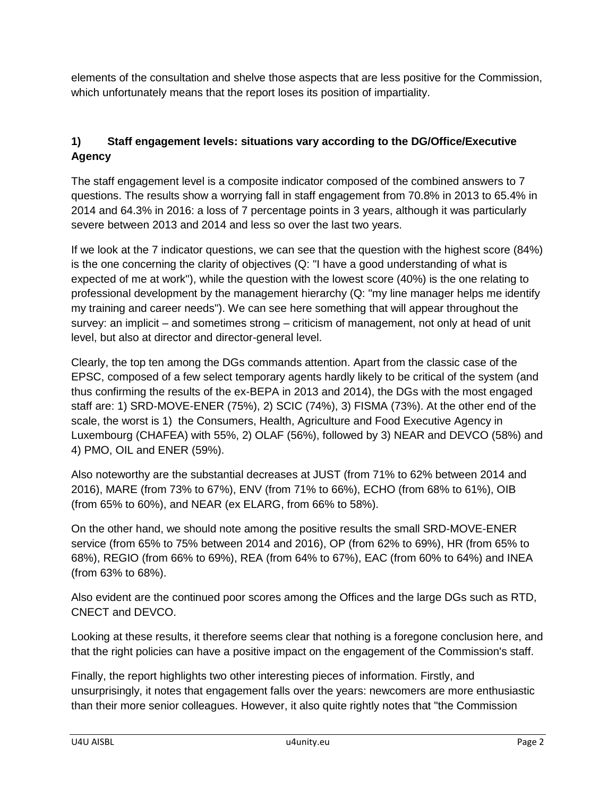elements of the consultation and shelve those aspects that are less positive for the Commission, which unfortunately means that the report loses its position of impartiality.

# **1) Staff engagement levels: situations vary according to the DG/Office/Executive Agency**

The staff engagement level is a composite indicator composed of the combined answers to 7 questions. The results show a worrying fall in staff engagement from 70.8% in 2013 to 65.4% in 2014 and 64.3% in 2016: a loss of 7 percentage points in 3 years, although it was particularly severe between 2013 and 2014 and less so over the last two years.

If we look at the 7 indicator questions, we can see that the question with the highest score (84%) is the one concerning the clarity of objectives (Q: "I have a good understanding of what is expected of me at work"), while the question with the lowest score (40%) is the one relating to professional development by the management hierarchy (Q: "my line manager helps me identify my training and career needs"). We can see here something that will appear throughout the survey: an implicit – and sometimes strong – criticism of management, not only at head of unit level, but also at director and director-general level.

Clearly, the top ten among the DGs commands attention. Apart from the classic case of the EPSC, composed of a few select temporary agents hardly likely to be critical of the system (and thus confirming the results of the ex-BEPA in 2013 and 2014), the DGs with the most engaged staff are: 1) SRD-MOVE-ENER (75%), 2) SCIC (74%), 3) FISMA (73%). At the other end of the scale, the worst is 1) the Consumers, Health, Agriculture and Food Executive Agency in Luxembourg (CHAFEA) with 55%, 2) OLAF (56%), followed by 3) NEAR and DEVCO (58%) and 4) PMO, OIL and ENER (59%).

Also noteworthy are the substantial decreases at JUST (from 71% to 62% between 2014 and 2016), MARE (from 73% to 67%), ENV (from 71% to 66%), ECHO (from 68% to 61%), OIB (from 65% to 60%), and NEAR (ex ELARG, from 66% to 58%).

On the other hand, we should note among the positive results the small SRD-MOVE-ENER service (from 65% to 75% between 2014 and 2016), OP (from 62% to 69%), HR (from 65% to 68%), REGIO (from 66% to 69%), REA (from 64% to 67%), EAC (from 60% to 64%) and INEA (from 63% to 68%).

Also evident are the continued poor scores among the Offices and the large DGs such as RTD, CNECT and DEVCO.

Looking at these results, it therefore seems clear that nothing is a foregone conclusion here, and that the right policies can have a positive impact on the engagement of the Commission's staff.

Finally, the report highlights two other interesting pieces of information. Firstly, and unsurprisingly, it notes that engagement falls over the years: newcomers are more enthusiastic than their more senior colleagues. However, it also quite rightly notes that "the Commission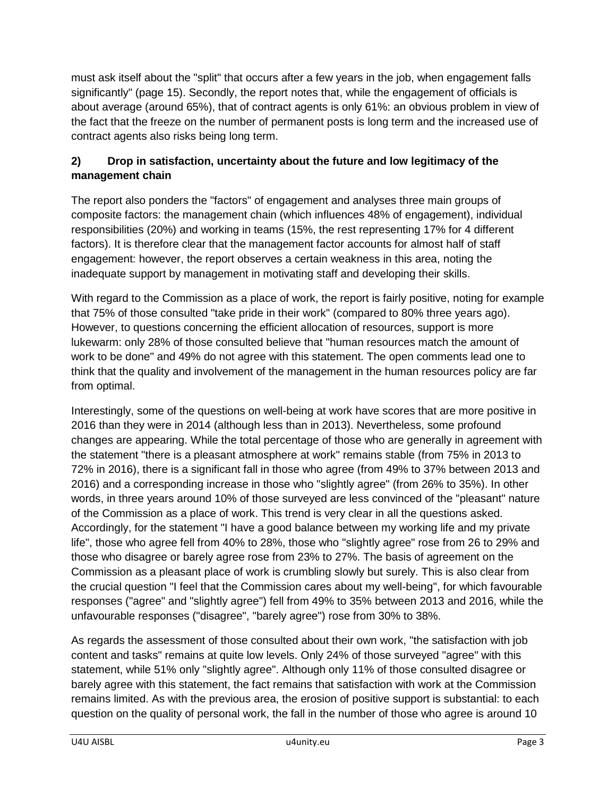must ask itself about the "split" that occurs after a few years in the job, when engagement falls significantly" (page 15). Secondly, the report notes that, while the engagement of officials is about average (around 65%), that of contract agents is only 61%: an obvious problem in view of the fact that the freeze on the number of permanent posts is long term and the increased use of contract agents also risks being long term.

## **2) Drop in satisfaction, uncertainty about the future and low legitimacy of the management chain**

The report also ponders the "factors" of engagement and analyses three main groups of composite factors: the management chain (which influences 48% of engagement), individual responsibilities (20%) and working in teams (15%, the rest representing 17% for 4 different factors). It is therefore clear that the management factor accounts for almost half of staff engagement: however, the report observes a certain weakness in this area, noting the inadequate support by management in motivating staff and developing their skills.

With regard to the Commission as a place of work, the report is fairly positive, noting for example that 75% of those consulted "take pride in their work" (compared to 80% three years ago). However, to questions concerning the efficient allocation of resources, support is more lukewarm: only 28% of those consulted believe that "human resources match the amount of work to be done" and 49% do not agree with this statement. The open comments lead one to think that the quality and involvement of the management in the human resources policy are far from optimal.

Interestingly, some of the questions on well-being at work have scores that are more positive in 2016 than they were in 2014 (although less than in 2013). Nevertheless, some profound changes are appearing. While the total percentage of those who are generally in agreement with the statement "there is a pleasant atmosphere at work" remains stable (from 75% in 2013 to 72% in 2016), there is a significant fall in those who agree (from 49% to 37% between 2013 and 2016) and a corresponding increase in those who "slightly agree" (from 26% to 35%). In other words, in three years around 10% of those surveyed are less convinced of the "pleasant" nature of the Commission as a place of work. This trend is very clear in all the questions asked. Accordingly, for the statement "I have a good balance between my working life and my private life", those who agree fell from 40% to 28%, those who "slightly agree" rose from 26 to 29% and those who disagree or barely agree rose from 23% to 27%. The basis of agreement on the Commission as a pleasant place of work is crumbling slowly but surely. This is also clear from the crucial question "I feel that the Commission cares about my well-being", for which favourable responses ("agree" and "slightly agree") fell from 49% to 35% between 2013 and 2016, while the unfavourable responses ("disagree", "barely agree") rose from 30% to 38%.

As regards the assessment of those consulted about their own work, "the satisfaction with job content and tasks" remains at quite low levels. Only 24% of those surveyed "agree" with this statement, while 51% only "slightly agree". Although only 11% of those consulted disagree or barely agree with this statement, the fact remains that satisfaction with work at the Commission remains limited. As with the previous area, the erosion of positive support is substantial: to each question on the quality of personal work, the fall in the number of those who agree is around 10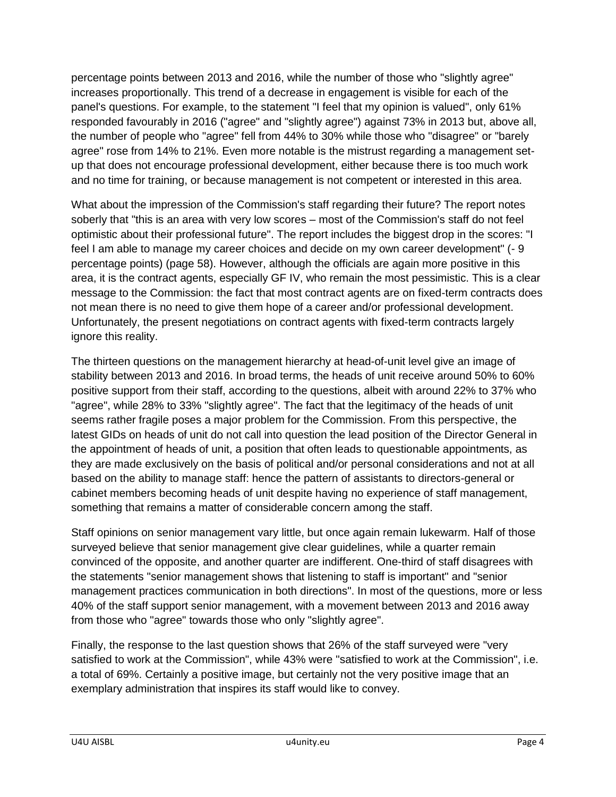percentage points between 2013 and 2016, while the number of those who "slightly agree" increases proportionally. This trend of a decrease in engagement is visible for each of the panel's questions. For example, to the statement "I feel that my opinion is valued", only 61% responded favourably in 2016 ("agree" and "slightly agree") against 73% in 2013 but, above all, the number of people who "agree" fell from 44% to 30% while those who "disagree" or "barely agree" rose from 14% to 21%. Even more notable is the mistrust regarding a management setup that does not encourage professional development, either because there is too much work and no time for training, or because management is not competent or interested in this area.

What about the impression of the Commission's staff regarding their future? The report notes soberly that "this is an area with very low scores – most of the Commission's staff do not feel optimistic about their professional future". The report includes the biggest drop in the scores: "I feel I am able to manage my career choices and decide on my own career development" (- 9 percentage points) (page 58). However, although the officials are again more positive in this area, it is the contract agents, especially GF IV, who remain the most pessimistic. This is a clear message to the Commission: the fact that most contract agents are on fixed-term contracts does not mean there is no need to give them hope of a career and/or professional development. Unfortunately, the present negotiations on contract agents with fixed-term contracts largely ignore this reality.

The thirteen questions on the management hierarchy at head-of-unit level give an image of stability between 2013 and 2016. In broad terms, the heads of unit receive around 50% to 60% positive support from their staff, according to the questions, albeit with around 22% to 37% who "agree", while 28% to 33% "slightly agree". The fact that the legitimacy of the heads of unit seems rather fragile poses a major problem for the Commission. From this perspective, the latest GIDs on heads of unit do not call into question the lead position of the Director General in the appointment of heads of unit, a position that often leads to questionable appointments, as they are made exclusively on the basis of political and/or personal considerations and not at all based on the ability to manage staff: hence the pattern of assistants to directors-general or cabinet members becoming heads of unit despite having no experience of staff management, something that remains a matter of considerable concern among the staff.

Staff opinions on senior management vary little, but once again remain lukewarm. Half of those surveyed believe that senior management give clear guidelines, while a quarter remain convinced of the opposite, and another quarter are indifferent. One-third of staff disagrees with the statements "senior management shows that listening to staff is important" and "senior management practices communication in both directions". In most of the questions, more or less 40% of the staff support senior management, with a movement between 2013 and 2016 away from those who "agree" towards those who only "slightly agree".

Finally, the response to the last question shows that 26% of the staff surveyed were "very satisfied to work at the Commission", while 43% were "satisfied to work at the Commission", i.e. a total of 69%. Certainly a positive image, but certainly not the very positive image that an exemplary administration that inspires its staff would like to convey.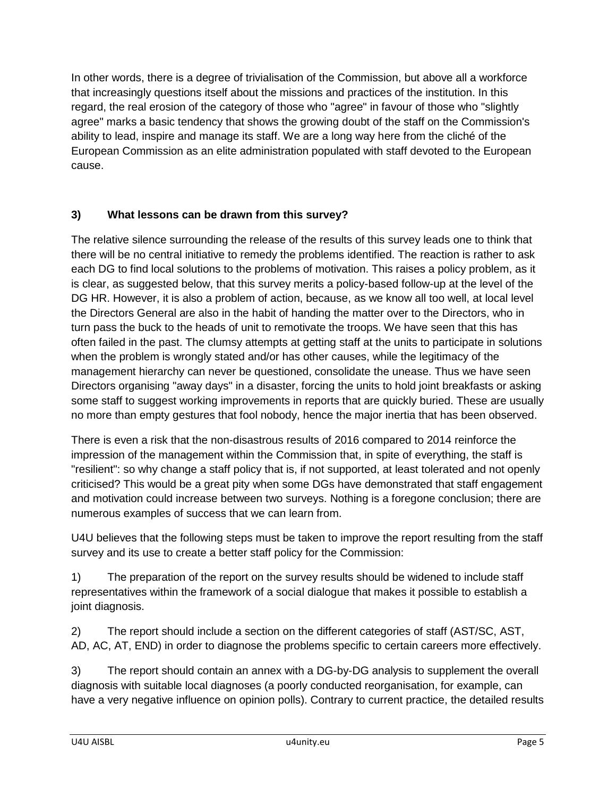In other words, there is a degree of trivialisation of the Commission, but above all a workforce that increasingly questions itself about the missions and practices of the institution. In this regard, the real erosion of the category of those who "agree" in favour of those who "slightly agree" marks a basic tendency that shows the growing doubt of the staff on the Commission's ability to lead, inspire and manage its staff. We are a long way here from the cliché of the European Commission as an elite administration populated with staff devoted to the European cause.

## **3) What lessons can be drawn from this survey?**

The relative silence surrounding the release of the results of this survey leads one to think that there will be no central initiative to remedy the problems identified. The reaction is rather to ask each DG to find local solutions to the problems of motivation. This raises a policy problem, as it is clear, as suggested below, that this survey merits a policy-based follow-up at the level of the DG HR. However, it is also a problem of action, because, as we know all too well, at local level the Directors General are also in the habit of handing the matter over to the Directors, who in turn pass the buck to the heads of unit to remotivate the troops. We have seen that this has often failed in the past. The clumsy attempts at getting staff at the units to participate in solutions when the problem is wrongly stated and/or has other causes, while the legitimacy of the management hierarchy can never be questioned, consolidate the unease. Thus we have seen Directors organising "away days" in a disaster, forcing the units to hold joint breakfasts or asking some staff to suggest working improvements in reports that are quickly buried. These are usually no more than empty gestures that fool nobody, hence the major inertia that has been observed.

There is even a risk that the non-disastrous results of 2016 compared to 2014 reinforce the impression of the management within the Commission that, in spite of everything, the staff is "resilient": so why change a staff policy that is, if not supported, at least tolerated and not openly criticised? This would be a great pity when some DGs have demonstrated that staff engagement and motivation could increase between two surveys. Nothing is a foregone conclusion; there are numerous examples of success that we can learn from.

U4U believes that the following steps must be taken to improve the report resulting from the staff survey and its use to create a better staff policy for the Commission:

1) The preparation of the report on the survey results should be widened to include staff representatives within the framework of a social dialogue that makes it possible to establish a joint diagnosis.

2) The report should include a section on the different categories of staff (AST/SC, AST, AD, AC, AT, END) in order to diagnose the problems specific to certain careers more effectively.

3) The report should contain an annex with a DG-by-DG analysis to supplement the overall diagnosis with suitable local diagnoses (a poorly conducted reorganisation, for example, can have a very negative influence on opinion polls). Contrary to current practice, the detailed results